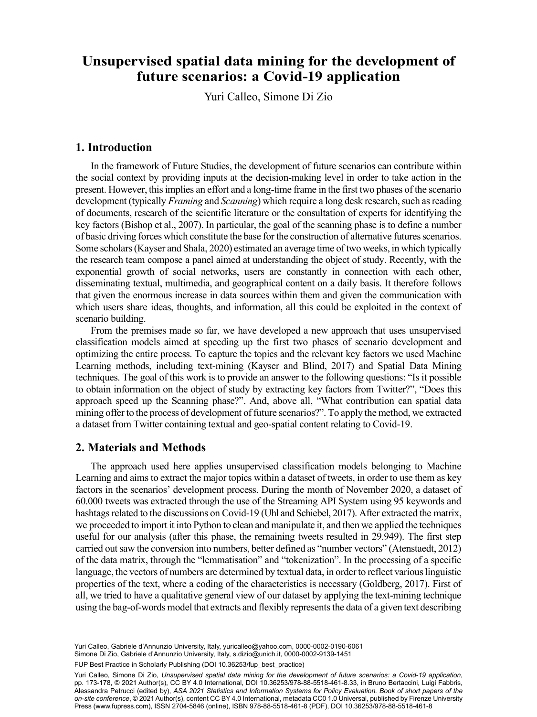#### $\frac{1}{2}$   $\frac{1}{2}$   $\frac{1}{2}$   $\frac{1}{2}$   $\frac{1}{2}$   $\frac{1}{2}$   $\frac{1}{2}$   $\frac{1}{2}$   $\frac{1}{2}$   $\frac{1}{2}$   $\frac{1}{2}$   $\frac{1}{2}$   $\frac{1}{2}$   $\frac{1}{2}$   $\frac{1}{2}$   $\frac{1}{2}$   $\frac{1}{2}$   $\frac{1}{2}$   $\frac{1}{2}$   $\frac{1}{2}$   $\frac{1}{2}$   $\frac{1}{2}$  , **Unsupervised spatial data mining for the development of future scenarios: a Covid-19 application**

Yuri Calleo, Simone Di Zio

### **1. Introduction**

In the framework of Future Studies, the development of future scenarios can contribute within the social context by providing inputs at the decision-making level in order to take action in the present. However, this implies an effort and a long-time frame in the first two phases of the scenario development (typically *Framing* and *Scanning*) which require a long desk research, such as reading of documents, research of the scientific literature or the consultation of experts for identifying the key factors (Bishop et al., 2007). In particular, the goal of the scanning phase is to define a number of basic driving forces which constitute the base for the construction of alternative futures scenarios. Some scholars (Kayser and Shala, 2020) estimated an average time of two weeks, in which typically the research team compose a panel aimed at understanding the object of study. Recently, with the exponential growth of social networks, users are constantly in connection with each other, disseminating textual, multimedia, and geographical content on a daily basis. It therefore follows that given the enormous increase in data sources within them and given the communication with which users share ideas, thoughts, and information, all this could be exploited in the context of scenario building.

From the premises made so far, we have developed a new approach that uses unsupervised classification models aimed at speeding up the first two phases of scenario development and optimizing the entire process. To capture the topics and the relevant key factors we used Machine Learning methods, including text-mining (Kayser and Blind, 2017) and Spatial Data Mining techniques. The goal of this work is to provide an answer to the following questions: "Is it possible to obtain information on the object of study by extracting key factors from Twitter?", "Does this approach speed up the Scanning phase?". And, above all, "What contribution can spatial data mining offer to the process of development of future scenarios?". To apply the method, we extracted a dataset from Twitter containing textual and geo-spatial content relating to Covid-19.

## **2. Materials and Methods**

The approach used here applies unsupervised classification models belonging to Machine Learning and aims to extract the major topics within a dataset of tweets, in order to use them as key factors in the scenarios' development process. During the month of November 2020, a dataset of 60.000 tweets was extracted through the use of the Streaming API System using 95 keywords and hashtags related to the discussions on Covid-19 (Uhl and Schiebel, 2017). After extracted the matrix, we proceeded to import it into Python to clean and manipulate it, and then we applied the techniques useful for our analysis (after this phase, the remaining tweets resulted in 29.949). The first step carried out saw the conversion into numbers, better defined as "number vectors" (Atenstaedt, 2012) of the data matrix, through the "lemmatisation" and "tokenization". In the processing of a specific language, the vectors of numbers are determined by textual data, in orderto reflect various linguistic properties of the text, where a coding of the characteristics is necessary (Goldberg, 2017). First of all, we tried to have a qualitative general view of our dataset by applying the text-mining technique using the bag-of-words model that extracts and flexibly represents the data of a given text describing

Simone Di Zio, Gabriele d'Annunzio University, Italy, [s.dizio@unich.it,](mailto:s.dizio@unich.it) [0000-0002-9139-1451](https://orcid.org/0000-0002-9139-1451) Yuri Calleo, Gabriele d'Annunzio University, Italy, [yuricalleo@yahoo.com](mailto:yuricalleo@yahoo.com), [0000-0002-0190-6061](https://orcid.org/0000-0002-0190-6061)

FUP Best Practice in Scholarly Publishing (DOI [10.36253/fup\\_best\\_practice](https://doi.org/10.36253/fup_best_practice))

Yuri Calleo, Simone Di Zio, *Unsupervised spatial data mining for the development of future scenarios: a Covid-19 application*, pp. 173-178, © 2021 Author(s), [CC BY 4.0 International,](http://creativecommons.org/licenses/by/4.0/legalcode) DOI [10.36253/978-88-5518-461-8.33](https://doi.org/10.36253/978-88-5518-461-8.33), in Bruno Bertaccini, Luigi Fabbris, Alessandra Petrucci (edited by), *ASA 2021 Statistics and Information Systems for Policy Evaluation. Book of short papers of the on-site conference*, © 2021 Author(s), content [CC BY 4.0 International,](http://creativecommons.org/licenses/by/4.0/legalcode) metadata [CC0 1.0 Universal](https://creativecommons.org/publicdomain/zero/1.0/legalcode), published by Firenze University Press [\(www.fupress.com\)](http://www.fupress.com), ISSN 2704-5846 (online), ISBN 978-88-5518-461-8 (PDF), DOI [10.36253/978-88-5518-461-8](https://doi.org/10.36253/978-88-5518-461-8)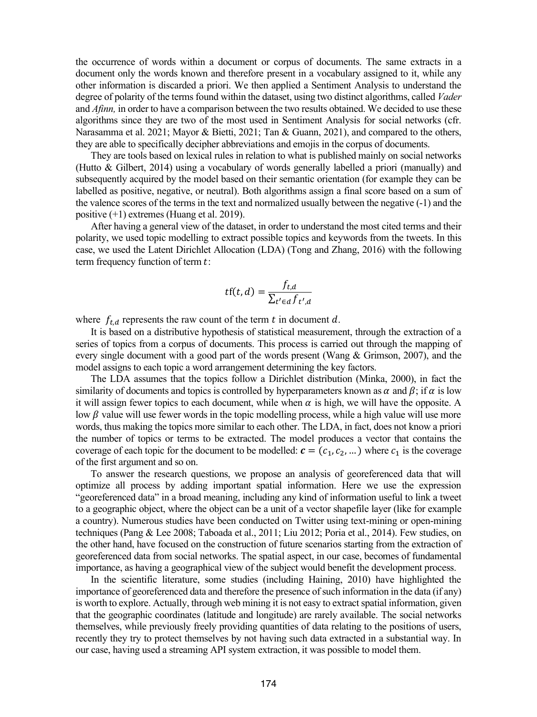the occurrence of words within a document or corpus of documents. The same extracts in a document only the words known and therefore present in a vocabulary assigned to it, while any other information is discarded a priori. We then applied a Sentiment Analysis to understand the degree of polarity of the terms found within the dataset, using two distinct algorithms, called *Vader* and *Afinn*, in order to have a comparison between the two results obtained. We decided to use these algorithms since they are two of the most used in Sentiment Analysis for social networks (cfr. Narasamma et al. 2021; Mayor & Bietti, 2021; Tan & Guann, 2021), and compared to the others, they are able to specifically decipher abbreviations and emojis in the corpus of documents.

They are tools based on lexical rules in relation to what is published mainly on social networks (Hutto & Gilbert, 2014) using a vocabulary of words generally labelled a priori (manually) and subsequently acquired by the model based on their semantic orientation (for example they can be labelled as positive, negative, or neutral). Both algorithms assign a final score based on a sum of the valence scores of the terms in the text and normalized usually between the negative (-1) and the positive (+1) extremes (Huang et al. 2019).

After having a general view of the dataset, in order to understand the most cited terms and their polarity, we used topic modelling to extract possible topics and keywords from the tweets. In this case, we used the Latent Dirichlet Allocation (LDA) (Tong and Zhang, 2016) with the following term frequency function of term  $t$ :

$$
tf(t, d) = \frac{f_{t, d}}{\sum_{t' \in d} f_{t', d}}
$$

where  $f_{t,d}$  represents the raw count of the term  $t$  in document  $d$ .

It is based on a distributive hypothesis of statistical measurement, through the extraction of a series of topics from a corpus of documents. This process is carried out through the mapping of every single document with a good part of the words present (Wang & Grimson, 2007), and the model assigns to each topic a word arrangement determining the key factors.

The LDA assumes that the topics follow a Dirichlet distribution (Minka, 2000), in fact the similarity of documents and topics is controlled by hyperparameters known as  $\alpha$  and  $\beta$ ; if  $\alpha$  is low it will assign fewer topics to each document, while when  $\alpha$  is high, we will have the opposite. A low  $\beta$  value will use fewer words in the topic modelling process, while a high value will use more words, thus making the topics more similar to each other. The LDA, in fact, does not know a priori the number of topics or terms to be extracted. The model produces a vector that contains the coverage of each topic for the document to be modelled:  $\mathbf{c} = (c_1, c_2, ...)$  where  $c_1$  is the coverage of the first argument and so on.

To answer the research questions, we propose an analysis of georeferenced data that will optimize all process by adding important spatial information. Here we use the expression "georeferenced data" in a broad meaning, including any kind of information useful to link a tweet to a geographic object, where the object can be a unit of a vector shapefile layer (like for example a country). Numerous studies have been conducted on Twitter using text-mining or open-mining techniques (Pang & Lee 2008; Taboada et al., 2011; Liu 2012; Poria et al., 2014). Few studies, on the other hand, have focused on the construction of future scenarios starting from the extraction of georeferenced data from social networks. The spatial aspect, in our case, becomes of fundamental importance, as having a geographical view of the subject would benefit the development process.

In the scientific literature, some studies (including Haining, 2010) have highlighted the importance of georeferenced data and therefore the presence of such information in the data (if any) is worth to explore. Actually, through web mining it is not easy to extract spatial information, given that the geographic coordinates (latitude and longitude) are rarely available. The social networks themselves, while previously freely providing quantities of data relating to the positions of users, recently they try to protect themselves by not having such data extracted in a substantial way. In our case, having used a streaming API system extraction, it was possible to model them.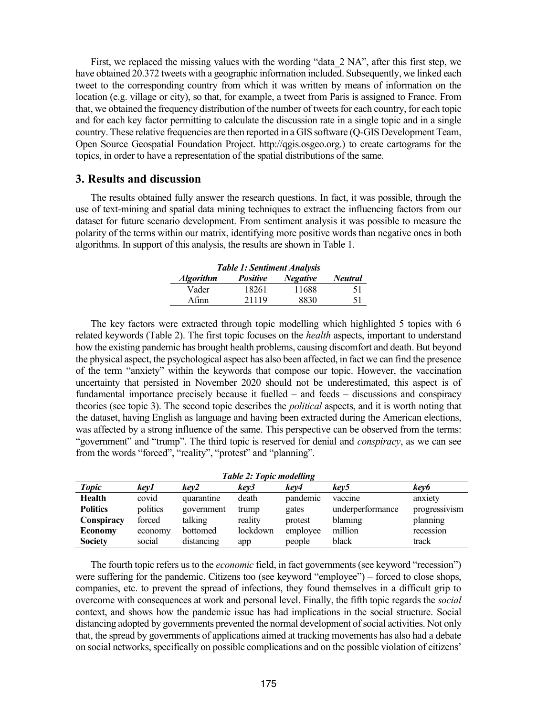First, we replaced the missing values with the wording "data 2 NA", after this first step, we have obtained 20.372 tweets with a geographic information included. Subsequently, we linked each tweet to the corresponding country from which it was written by means of information on the location (e.g. village or city), so that, for example, a tweet from Paris is assigned to France. From that, we obtained the frequency distribution of the number of tweets for each country, for each topic and for each key factor permitting to calculate the discussion rate in a single topic and in a single country. These relative frequencies are then reported in a GIS software (Q-GIS Development Team, Open Source Geospatial Foundation Project. http://qgis.osgeo.org.) to create cartograms for the topics, in order to have a representation of the spatial distributions of the same.

### **3. Results and discussion**

The results obtained fully answer the research questions. In fact, it was possible, through the use of text-mining and spatial data mining techniques to extract the influencing factors from our dataset for future scenario development. From sentiment analysis it was possible to measure the polarity of the terms within our matrix, identifying more positive words than negative ones in both algorithms. In support of this analysis, the results are shown in Table 1.

| <b>Table 1: Sentiment Analysis</b> |                 |                 |                |  |  |  |  |  |
|------------------------------------|-----------------|-----------------|----------------|--|--|--|--|--|
| <b>Algorithm</b>                   | <i>Positive</i> | <b>Negative</b> | <b>Neutral</b> |  |  |  |  |  |
| Vader                              | 18261           | 11688           | -51            |  |  |  |  |  |
| Afinn                              | 21119           | 8830            | 51             |  |  |  |  |  |

The key factors were extracted through topic modelling which highlighted 5 topics with 6 related keywords (Table 2). The first topic focuses on the *health* aspects, important to understand how the existing pandemic has brought health problems, causing discomfort and death. But beyond the physical aspect, the psychological aspect has also been affected, in fact we can find the presence of the term "anxiety" within the keywords that compose our topic. However, the vaccination uncertainty that persisted in November 2020 should not be underestimated, this aspect is of fundamental importance precisely because it fuelled – and feeds – discussions and conspiracy theories (see topic 3). The second topic describes the *political* aspects, and it is worth noting that the dataset, having English as language and having been extracted during the American elections, was affected by a strong influence of the same. This perspective can be observed from the terms: "government" and "trump". The third topic is reserved for denial and *conspiracy*, as we can see from the words "forced", "reality", "protest" and "planning".

| <b>Table 2: Topic modelling</b> |          |            |          |          |                  |               |  |  |
|---------------------------------|----------|------------|----------|----------|------------------|---------------|--|--|
| <b>Topic</b>                    | kev1     | kev2       | kev3     | kev4     | kev5             | key6          |  |  |
| Health                          | covid    | quarantine | death    | pandemic | vaccine          | anxiety       |  |  |
| <b>Politics</b>                 | politics | government | trump    | gates    | underperformance | progressivism |  |  |
| Conspiracy                      | forced   | talking    | reality  | protest  | blaming          | planning      |  |  |
| <b>Economy</b>                  | economy  | bottomed   | lockdown | employee | million          | recession     |  |  |
| <b>Society</b>                  | social   | distancing | app      | people   | black            | track         |  |  |

The fourth topic refers us to the *economic* field, in fact governments (see keyword "recession") were suffering for the pandemic. Citizens too (see keyword "employee") – forced to close shops, companies, etc. to prevent the spread of infections, they found themselves in a difficult grip to overcome with consequences at work and personal level. Finally, the fifth topic regards the *social* context, and shows how the pandemic issue has had implications in the social structure. Social distancing adopted by governments prevented the normal development of social activities. Not only that, the spread by governments of applications aimed at tracking movements has also had a debate on social networks, specifically on possible complications and on the possible violation of citizens'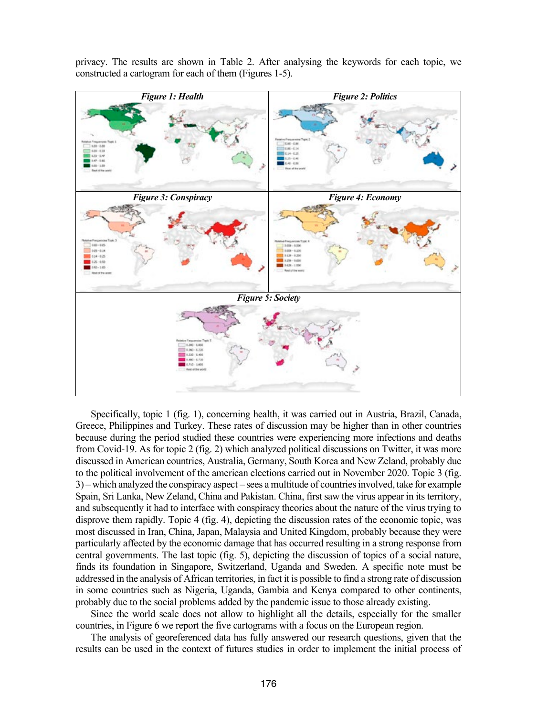privacy. The results are shown in Table 2. After analysing the keywords for each topic, we constructed a cartogram for each of them (Figures 1-5).



Specifically, topic 1 (fig. 1), concerning health, it was carried out in Austria, Brazil, Canada, Greece, Philippines and Turkey. These rates of discussion may be higher than in other countries because during the period studied these countries were experiencing more infections and deaths from Covid-19. As for topic 2 (fig. 2) which analyzed political discussions on Twitter, it was more discussed in American countries, Australia, Germany, South Korea and New Zeland, probably due to the political involvement of the american elections carried out in November 2020. Topic 3 (fig. 3) – which analyzed the conspiracy aspect – sees a multitude of countries involved, take for example Spain, Sri Lanka, New Zeland, China and Pakistan. China, first saw the virus appear in its territory, and subsequently it had to interface with conspiracy theories about the nature of the virus trying to disprove them rapidly. Topic 4 (fig. 4), depicting the discussion rates of the economic topic, was most discussed in Iran, China, Japan, Malaysia and United Kingdom, probably because they were particularly affected by the economic damage that has occurred resulting in a strong response from central governments. The last topic (fig. 5), depicting the discussion of topics of a social nature, finds its foundation in Singapore, Switzerland, Uganda and Sweden. A specific note must be addressed in the analysis of African territories, in fact it is possible to find a strong rate of discussion in some countries such as Nigeria, Uganda, Gambia and Kenya compared to other continents, probably due to the social problems added by the pandemic issue to those already existing.

Since the world scale does not allow to highlight all the details, especially for the smaller countries, in Figure 6 we report the five cartograms with a focus on the European region.

The analysis of georeferenced data has fully answered our research questions, given that the results can be used in the context of futures studies in order to implement the initial process of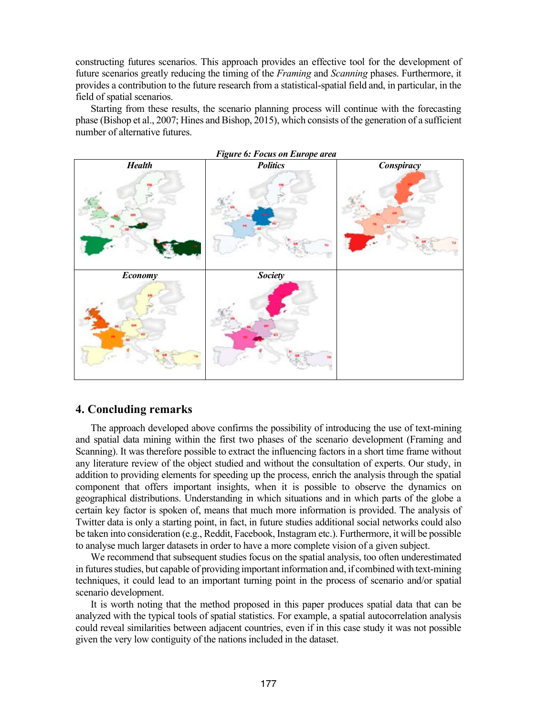constructing futures scenarios. This approach provides an effective tool for the development of future scenarios greatly reducing the timing of the *Framing* and *Scanning* phases. Furthermore, it provides a contribution to the future research from a statistical-spatial field and, in particular, in the field of spatial scenarios.

Starting from these results, the scenario planning process will continue with the forecasting phase (Bishop et al., 2007; Hines and Bishop, 2015), which consists of the generation of a sufficient number of alternative futures.



### **4. Concluding remarks**

The approach developed above confirms the possibility of introducing the use of text-mining and spatial data mining within the first two phases of the scenario development (Framing and Scanning). It was therefore possible to extract the influencing factors in a short time frame without any literature review of the object studied and without the consultation of experts. Our study, in addition to providing elements for speeding up the process, enrich the analysis through the spatial component that offers important insights, when it is possible to observe the dynamics on geographical distributions. Understanding in which situations and in which parts of the globe a certain key factor is spoken of, means that much more information is provided. The analysis of Twitter data is only a starting point, in fact, in future studies additional social networks could also be taken into consideration (e.g., Reddit, Facebook, Instagram etc.). Furthermore, it will be possible to analyse much larger datasets in order to have a more complete vision of a given subject.

We recommend that subsequent studies focus on the spatial analysis, too often underestimated in futures studies, but capable of providing important information and, if combined with text-mining techniques, it could lead to an important turning point in the process of scenario and/or spatial scenario development.

It is worth noting that the method proposed in this paper produces spatial data that can be analyzed with the typical tools of spatial statistics. For example, a spatial autocorrelation analysis could reveal similarities between adjacent countries, even if in this case study it was not possible given the very low contiguity of the nations included in the dataset.